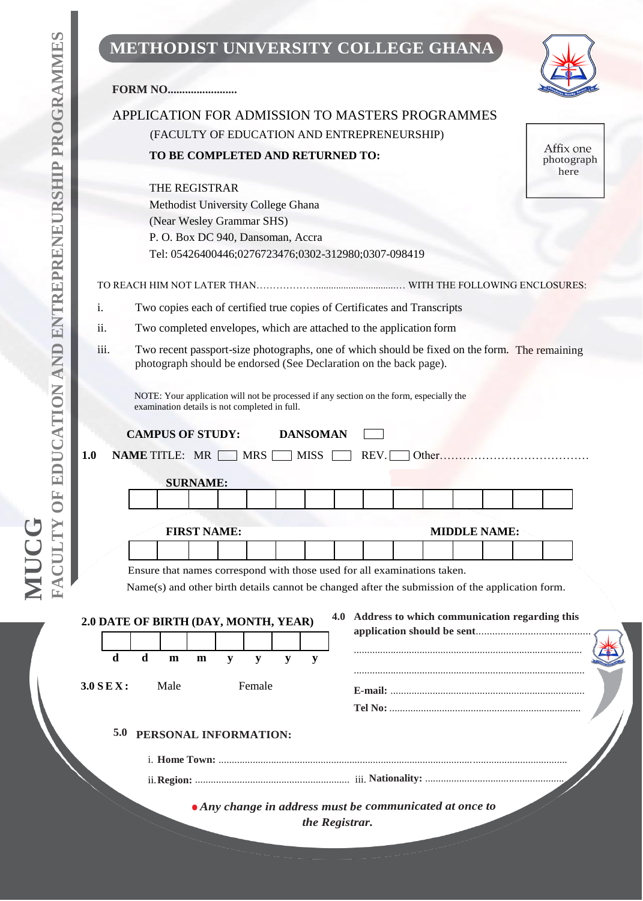# **P R O G R A M M E S P MUCG FACULTY OF EDUCATION AND ENTREPRENEURSHIP PROGRAMMES**

**A T E**

## **METHODIST UNIVERSITY COLLEGE GHANA**

25

| <b>FORM NO</b>                                                                                                                                                             |                     |                                                   |                                 |
|----------------------------------------------------------------------------------------------------------------------------------------------------------------------------|---------------------|---------------------------------------------------|---------------------------------|
| APPLICATION FOR ADMISSION TO MASTERS PROGRAMMES                                                                                                                            |                     |                                                   |                                 |
| (FACULTY OF EDUCATION AND ENTREPRENEURSHIP)                                                                                                                                |                     |                                                   |                                 |
| TO BE COMPLETED AND RETURNED TO:                                                                                                                                           |                     |                                                   | Affix one<br>photograph<br>here |
| THE REGISTRAR                                                                                                                                                              |                     |                                                   |                                 |
| Methodist University College Ghana                                                                                                                                         |                     |                                                   |                                 |
| (Near Wesley Grammar SHS)                                                                                                                                                  |                     |                                                   |                                 |
| P. O. Box DC 940, Dansoman, Accra<br>Tel: 05426400446;0276723476;0302-312980;0307-098419                                                                                   |                     |                                                   |                                 |
|                                                                                                                                                                            |                     |                                                   |                                 |
|                                                                                                                                                                            |                     |                                                   |                                 |
| Two copies each of certified true copies of Certificates and Transcripts<br>i.                                                                                             |                     |                                                   |                                 |
| ii.<br>Two completed envelopes, which are attached to the application form                                                                                                 |                     |                                                   |                                 |
| iii.<br>Two recent passport-size photographs, one of which should be fixed on the form. The remaining<br>photograph should be endorsed (See Declaration on the back page). |                     |                                                   |                                 |
|                                                                                                                                                                            |                     |                                                   |                                 |
| NOTE: Your application will not be processed if any section on the form, especially the<br>examination details is not completed in full.                                   |                     |                                                   |                                 |
|                                                                                                                                                                            |                     |                                                   |                                 |
| <b>CAMPUS OF STUDY:</b><br><b>DANSOMAN</b>                                                                                                                                 |                     |                                                   |                                 |
| REV.                                                                                                                                                                       | Other               |                                                   |                                 |
| <b>NAME TITLE: MR</b><br><b>MRS</b><br><b>MISS</b>                                                                                                                         |                     |                                                   |                                 |
| <b>SURNAME:</b>                                                                                                                                                            |                     |                                                   |                                 |
|                                                                                                                                                                            |                     |                                                   |                                 |
| <b>FIRST NAME:</b>                                                                                                                                                         | <b>MIDDLE NAME:</b> |                                                   |                                 |
|                                                                                                                                                                            |                     |                                                   |                                 |
| Ensure that names correspond with those used for all examinations taken.                                                                                                   |                     |                                                   |                                 |
| Name(s) and other birth details cannot be changed after the submission of the application form.                                                                            |                     |                                                   |                                 |
|                                                                                                                                                                            |                     | 4.0 Address to which communication regarding this |                                 |
|                                                                                                                                                                            |                     |                                                   |                                 |
| $\mathbf d$<br>$\mathbf d$<br>m<br>y<br>m<br>${\bf y}$<br>${\bf y}$<br>$\mathbf y$                                                                                         |                     |                                                   |                                 |
|                                                                                                                                                                            |                     |                                                   |                                 |
| Male<br>Female                                                                                                                                                             |                     |                                                   |                                 |
|                                                                                                                                                                            |                     |                                                   |                                 |
| 5.0<br>PERSONAL INFORMATION:                                                                                                                                               |                     |                                                   |                                 |
| 1.0<br>2.0 DATE OF BIRTH (DAY, MONTH, YEAR)<br>$3.0$ SEX:                                                                                                                  |                     |                                                   |                                 |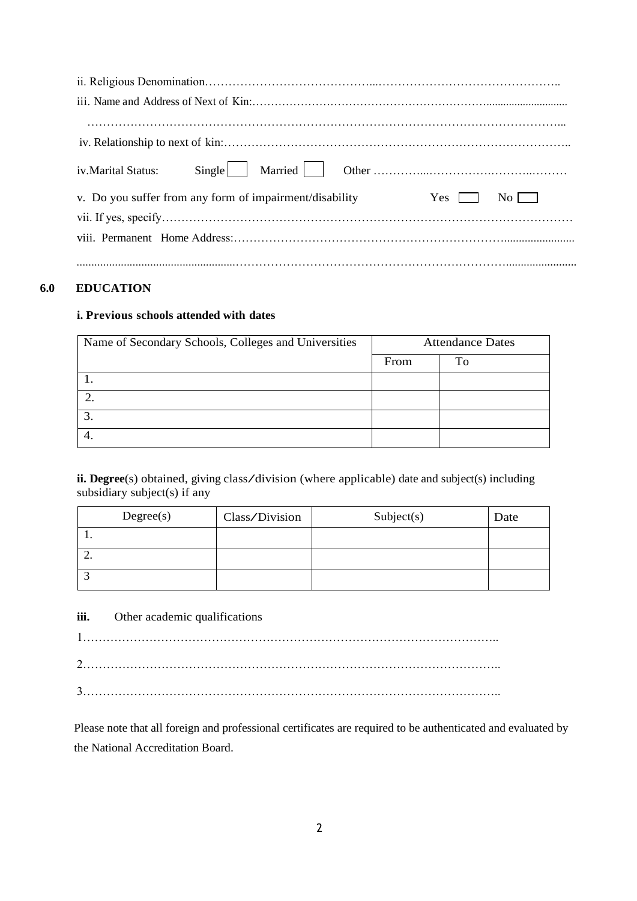| <i>iv.Marital Status:</i>                                                                 |
|-------------------------------------------------------------------------------------------|
| v. Do you suffer from any form of impairment/disability<br>$Yes \Box$<br>$\overline{N_0}$ |
|                                                                                           |
|                                                                                           |
|                                                                                           |
|                                                                                           |

### **6.0 EDUCATION**

#### **i. Previous schools attended with dates**

| Name of Secondary Schools, Colleges and Universities | <b>Attendance Dates</b> |    |
|------------------------------------------------------|-------------------------|----|
|                                                      | From                    | Tо |
|                                                      |                         |    |
|                                                      |                         |    |
| 3.                                                   |                         |    |
|                                                      |                         |    |

**ii. Degree**(s) obtained, giving class/division (where applicable) date and subject(s) including subsidiary subject(s) if any

|          | Degree(s) | Class/Division | Subject(s) | Date |
|----------|-----------|----------------|------------|------|
|          |           |                |            |      |
| <u>.</u> |           |                |            |      |
|          |           |                |            |      |

#### **iii.** Other academic qualifications

1…………………………………………………………………………………………….. 2…………………………………………………………………………………………….. 3……………………………………………………………………………………………..

Please note that all foreign and professional certificates are required to be authenticated and evaluated by the National Accreditation Board.